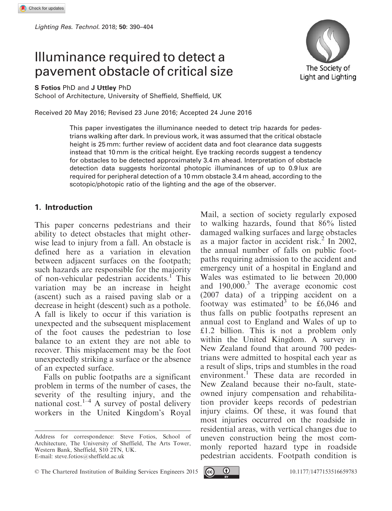# Illuminance required to detect a pavement obstacle of critical size



S Fotios PhD and J Uttley PhD

School of Architecture, University of Sheffield, Sheffield, UK

Received 20 May 2016; Revised 23 June 2016; Accepted 24 June 2016

This paper investigates the illuminance needed to detect trip hazards for pedestrians walking after dark. In previous work, it was assumed that the critical obstacle height is 25 mm: further review of accident data and foot clearance data suggests instead that 10 mm is the critical height. Eye tracking records suggest a tendency for obstacles to be detected approximately 3.4 m ahead. Interpretation of obstacle detection data suggests horizontal photopic illuminances of up to 0.9 lux are required for peripheral detection of a 10 mm obstacle 3.4 m ahead, according to the scotopic/photopic ratio of the lighting and the age of the observer.

#### 1. Introduction

This paper concerns pedestrians and their ability to detect obstacles that might otherwise lead to injury from a fall. An obstacle is defined here as a variation in elevation between adjacent surfaces on the footpath; such hazards are responsible for the majority of non-vehicular pedestrian accidents.<sup>1</sup> This variation may be an increase in height (ascent) such as a raised paving slab or a decrease in height (descent) such as a pothole. A fall is likely to occur if this variation is unexpected and the subsequent misplacement of the foot causes the pedestrian to lose balance to an extent they are not able to recover. This misplacement may be the foot unexpectedly striking a surface or the absence of an expected surface.

Falls on public footpaths are a significant problem in terms of the number of cases, the severity of the resulting injury, and the national cost.<sup>1–4</sup> A survey of postal delivery workers in the United Kingdom's Royal

 $\circ$  The Chartered Institution of Building Services Engineers 2015  $\circ$   $\bullet$   $\bullet$  10.1177/1477153516659783



Mail, a section of society regularly exposed to walking hazards, found that 86% listed damaged walking surfaces and large obstacles as a major factor in accident risk. $^{2}$  In 2002, the annual number of falls on public footpaths requiring admission to the accident and emergency unit of a hospital in England and Wales was estimated to lie between 20,000 and  $190,000$ .<sup>3</sup> The average economic cost (2007 data) of a tripping accident on a footway was estimated<sup>3</sup> to be £6,046 and thus falls on public footpaths represent an annual cost to England and Wales of up to £1.2 billion. This is not a problem only within the United Kingdom. A survey in New Zealand found that around 700 pedestrians were admitted to hospital each year as a result of slips, trips and stumbles in the road environment.<sup>1</sup> These data are recorded in New Zealand because their no-fault, state-

Address for correspondence: Steve Fotios, School of Architecture, The University of Sheffield, The Arts Tower, Western Bank, Sheffield, S10 2TN, UK. E-mail: steve.fotios@sheffield.ac.uk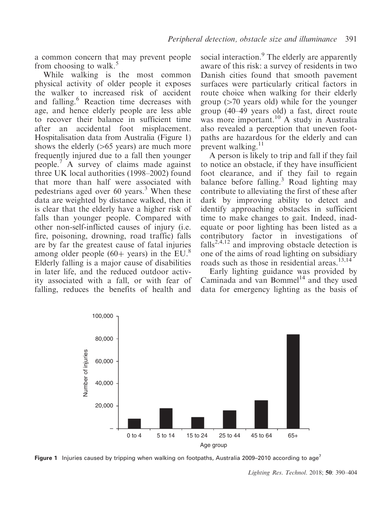a common concern that may prevent people from choosing to walk.<sup>5</sup>

While walking is the most common physical activity of older people it exposes the walker to increased risk of accident and falling.<sup>6</sup> Reaction time decreases with age, and hence elderly people are less able to recover their balance in sufficient time after an accidental foot misplacement. Hospitalisation data from Australia (Figure 1) shows the elderly  $(>65$  years) are much more frequently injured due to a fall then younger people.<sup>7</sup> A survey of claims made against three UK local authorities (1998–2002) found that more than half were associated with pedestrians aged over  $60$  years.<sup>3</sup> When these data are weighted by distance walked, then it is clear that the elderly have a higher risk of falls than younger people. Compared with other non-self-inflicted causes of injury (i.e. fire, poisoning, drowning, road traffic) falls are by far the greatest cause of fatal injuries among older people  $(60+)$  years) in the EU.<sup>8</sup> Elderly falling is a major cause of disabilities in later life, and the reduced outdoor activity associated with a fall, or with fear of falling, reduces the benefits of health and

social interaction.<sup>9</sup> The elderly are apparently aware of this risk: a survey of residents in two Danish cities found that smooth pavement surfaces were particularly critical factors in route choice when walking for their elderly group  $(270 \text{ years}$  old) while for the younger group (40–49 years old) a fast, direct route was more important.<sup>10</sup> A study in Australia also revealed a perception that uneven footpaths are hazardous for the elderly and can prevent walking. $11$ 

A person is likely to trip and fall if they fail to notice an obstacle, if they have insufficient foot clearance, and if they fail to regain balance before falling.<sup>3</sup> Road lighting may contribute to alleviating the first of these after dark by improving ability to detect and identify approaching obstacles in sufficient time to make changes to gait. Indeed, inadequate or poor lighting has been listed as a contributory factor in investigations of falls<sup>2,4,12</sup> and improving obstacle detection is one of the aims of road lighting on subsidiary roads such as those in residential areas.<sup>13,14</sup>

Early lighting guidance was provided by Caminada and van Bommel $^{14}$  and they used data for emergency lighting as the basis of



**Figure 1** Injuries caused by tripping when walking on footpaths, Australia 2009–2010 according to age<sup>7</sup>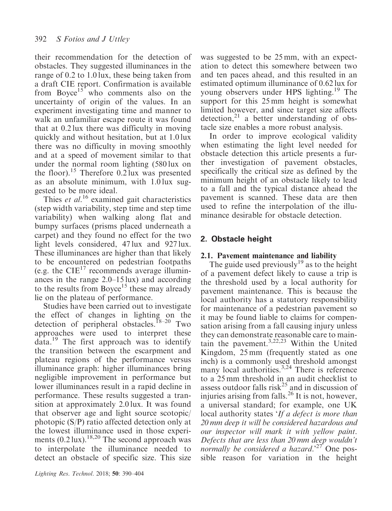their recommendation for the detection of obstacles. They suggested illuminances in the range of 0.2 to 1.0 lux, these being taken from a draft CIE report. Confirmation is available from Boyce<sup>15</sup> who comments also on the uncertainty of origin of the values. In an experiment investigating time and manner to walk an unfamiliar escape route it was found that at 0.2 lux there was difficulty in moving quickly and without hesitation, but at 1.0 lux there was no difficulty in moving smoothly and at a speed of movement similar to that under the normal room lighting (580 lux on the floor).<sup>15</sup> Therefore 0.2 lux was presented as an absolute minimum, with 1.0 lux suggested to be more ideal.

Thies et al.<sup>16</sup> examined gait characteristics (step width variability, step time and step time variability) when walking along flat and bumpy surfaces (prisms placed underneath a carpet) and they found no effect for the two light levels considered, 47 lux and 927 lux. These illuminances are higher than that likely to be encountered on pedestrian footpaths (e.g. the  $CIE^{17}$  recommends average illuminances in the range 2.0–15 lux) and according to the results from Boyce<sup>15</sup> these may already lie on the plateau of performance.

Studies have been carried out to investigate the effect of changes in lighting on the detection of peripheral obstacles.<sup>18–20</sup> Two approaches were used to interpret these data.<sup>19</sup> The first approach was to identify the transition between the escarpment and plateau regions of the performance versus illuminance graph: higher illuminances bring negligible improvement in performance but lower illuminances result in a rapid decline in performance. These results suggested a transition at approximately 2.0 lux. It was found that observer age and light source scotopic/ photopic (S/P) ratio affected detection only at the lowest illuminance used in those experiments  $(0.2 \text{ lux})$ .<sup>18,20</sup> The second approach was to interpolate the illuminance needed to detect an obstacle of specific size. This size

was suggested to be 25 mm, with an expectation to detect this somewhere between two and ten paces ahead, and this resulted in an estimated optimum illuminance of 0.62 lux for young observers under HPS lighting.<sup>19</sup> The support for this 25 mm height is somewhat limited however, and since target size affects detection, $21$  a better understanding of obstacle size enables a more robust analysis.

In order to improve ecological validity when estimating the light level needed for obstacle detection this article presents a further investigation of pavement obstacles, specifically the critical size as defined by the minimum height of an obstacle likely to lead to a fall and the typical distance ahead the pavement is scanned. These data are then used to refine the interpolation of the illuminance desirable for obstacle detection.

# 2. Obstacle height

## 2.1. Pavement maintenance and liability

The guide used previously<sup>19</sup> as to the height of a pavement defect likely to cause a trip is the threshold used by a local authority for pavement maintenance. This is because the local authority has a statutory responsibility for maintenance of a pedestrian pavement so it may be found liable to claims for compensation arising from a fall causing injury unless they can demonstrate reasonable care to maintain the pavement.3,22,23 Within the United Kingdom, 25 mm (frequently stated as one inch) is a commonly used threshold amongst many local authorities.<sup>3,24</sup> There is reference to a 25 mm threshold in an audit checklist to assess outdoor falls risk<sup>25</sup> and in discussion of injuries arising from falls. $^{26}$  It is not, however, a universal standard; for example, one UK local authority states 'If a defect is more than 20 mm deep it will be considered hazardous and our inspector will mark it with yellow paint. Defects that are less than 20 mm deep wouldn't normally be considered a hazard.<sup>27</sup> One possible reason for variation in the height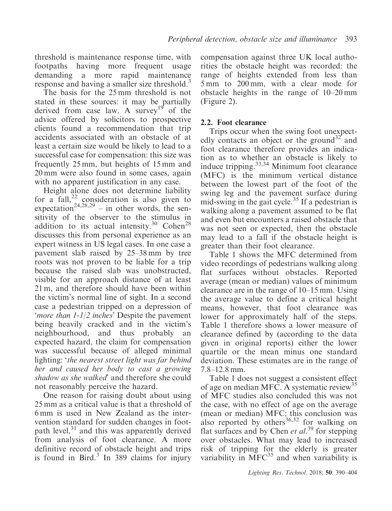threshold is maintenance response time, with footpaths having more frequent usage demanding a more rapid maintenance response and having a smaller size threshold.<sup>3</sup>

The basis for the 25 mm threshold is not stated in these sources: it may be partially derived from case law. A survey<sup>19</sup> of the advice offered by solicitors to prospective clients found a recommendation that trip accidents associated with an obstacle of at least a certain size would be likely to lead to a successful case for compensation: this size was frequently 25 mm, but heights of 15 mm and 20 mm were also found in some cases, again with no apparent justification in any case.

Height alone does not determine liability for a fall, $^{22}$  consideration is also given to expectation<sup>24,28,29</sup> – in other words, the sensitivity of the observer to the stimulus in addition to its actual intensity.<sup>30</sup> Cohen<sup>28</sup> discusses this from personal experience as an expert witness in US legal cases. In one case a pavement slab raised by 25–38 mm by tree roots was not proven to be liable for a trip because the raised slab was unobstructed, visible for an approach distance of at least 21 m, and therefore should have been within the victim's normal line of sight. In a second case a pedestrian tripped on a depression of 'more than 1-1/2 inches' Despite the pavement being heavily cracked and in the victim's neighbourhood, and thus probably an expected hazard, the claim for compensation was successful because of alleged minimal lighting: 'the nearest street light was far behind her and caused her body to cast a growing shadow as she walked' and therefore she could not reasonably perceive the hazard.

One reason for raising doubt about using 25 mm as a critical value is that a threshold of 6 mm is used in New Zealand as the intervention standard for sudden changes in footpath level, $31$  and this was apparently derived from analysis of foot clearance. A more definitive record of obstacle height and trips is found in Bird. $3 \text{ In } 389$  claims for injury

compensation against three UK local authorities the obstacle height was recorded: the range of heights extended from less than 5 mm to 200 mm, with a clear mode for obstacle heights in the range of 10–20 mm (Figure 2).

#### 2.2. Foot clearance

Trips occur when the swing foot unexpectedly contacts an object or the ground<sup>32</sup> and foot clearance therefore provides an indication as to whether an obstacle is likely to induce tripping.<sup>33,34</sup> Minimum foot clearance (MFC) is the minimum vertical distance between the lowest part of the foot of the swing leg and the pavement surface during mid-swing in the gait cycle.<sup>35</sup> If a pedestrian is walking along a pavement assumed to be flat and even but encounters a raised obstacle that was not seen or expected, then the obstacle may lead to a fall if the obstacle height is greater than their foot clearance.

Table 1 shows the MFC determined from video recordings of pedestrians walking along flat surfaces without obstacles. Reported average (mean or median) values of minimum clearance are in the range of 10–15 mm. Using the average value to define a critical height means, however, that foot clearance was lower for approximately half of the steps. Table 1 therefore shows a lower measure of clearance defined by (according to the data given in original reports) either the lower quartile or the mean minus one standard deviation. These estimates are in the range of 7.8–12.8 mm.

Table 1 does not suggest a consistent effect of age on median MFC. A systematic review<sup>35</sup> of MFC studies also concluded this was not the case, with no effect of age on the average (mean or median) MFC; this conclusion was also reported by others<sup>36,32</sup> for walking on flat surfaces and by Chen et  $al.^{39}$  for stepping over obstacles. What may lead to increased risk of tripping for the elderly is greater variability in  $\overline{MFC}^{35}$  and when variability is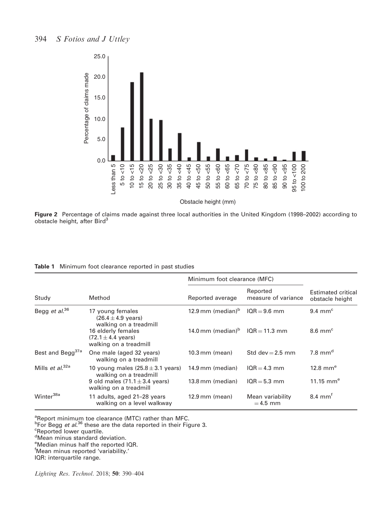

Figure 2 Percentage of claims made against three local authorities in the United Kingdom (1998–2002) according to obstacle height, after Bird<sup>3</sup>

|                                     | Method                                                                         | Minimum foot clearance (MFC)                  |                                 |                                       |  |
|-------------------------------------|--------------------------------------------------------------------------------|-----------------------------------------------|---------------------------------|---------------------------------------|--|
| Study                               |                                                                                | Reported average                              | Reported<br>measure of variance | Estimated critical<br>obstacle height |  |
| Begg et al. <sup>36</sup>           | 17 young females<br>$(26.4 \pm 4.9 \text{ years})$<br>walking on a treadmill   | 12.9 mm (median) $b$                          | $10R = 9.6$ mm                  | $9.4 \text{ mm}^{\circ}$              |  |
|                                     | 16 elderly females<br>$(72.1 \pm 4.4 \text{ years})$<br>walking on a treadmill | 14.0 mm (median) <sup>b</sup> $IQR = 11.3$ mm |                                 | $8.6 \text{ mm}^{\circ}$              |  |
| Best and Begg <sup>37a</sup>        | One male (aged 32 years)<br>walking on a treadmill                             | $10.3 \,\mathrm{mm}$ (mean)                   | Std dev = $2.5$ mm              | 7.8 mm $^d$                           |  |
| Mills <i>et al</i> . <sup>32a</sup> | 10 young males $(25.8 \pm 3.1 \text{ years})$<br>walking on a treadmill        | 14.9 mm (median)                              | $10R = 4.3$ mm                  | 12.8 mm $^{\circ}$                    |  |
|                                     | 9 old males $(71.1 \pm 3.4 \text{ years})$<br>walking on a treadmill           | 13.8 mm (median)                              | $10R = 5.3$ mm                  | 11.15 $mme$                           |  |
| Winter <sup>38a</sup>               | 11 adults, aged 21-28 years<br>walking on a level walkway                      | $12.9$ mm (mean)                              | Mean variability<br>$= 4.5$ mm  | $8.4 \text{ mm}^f$                    |  |

Table 1 Minimum foot clearance reported in past studies

<sup>a</sup>Report minimum toe clearance (MTC) rather than MFC.<br><sup>b</sup>For Begg *et al.*<sup>36</sup> these are the data reported in their Figure 3.<br><sup>c</sup>Reported lower quartile

IQR: interquartile range.

<sup>&</sup>lt;sup>c</sup>Reported lower quartile.

d Mean minus standard deviation.

<sup>&</sup>lt;sup>e</sup>Median minus half the reported IQR.

f Mean minus reported 'variability.'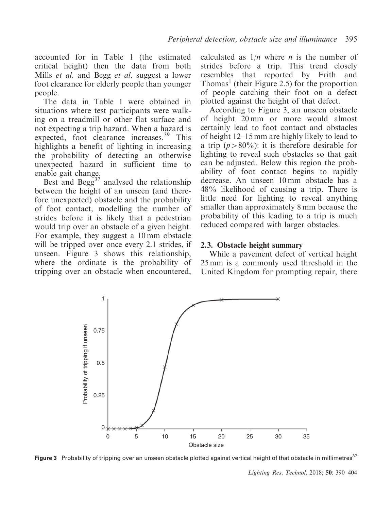accounted for in Table 1 (the estimated critical height) then the data from both Mills *et al.* and Begg *et al.* suggest a lower foot clearance for elderly people than younger people.

The data in Table 1 were obtained in situations where test participants were walking on a treadmill or other flat surface and not expecting a trip hazard. When a hazard is expected, foot clearance increases.<sup>39</sup> This highlights a benefit of lighting in increasing the probability of detecting an otherwise unexpected hazard in sufficient time to enable gait change.

Best and Begg<sup>37</sup> analysed the relationship between the height of an unseen (and therefore unexpected) obstacle and the probability of foot contact, modelling the number of strides before it is likely that a pedestrian would trip over an obstacle of a given height. For example, they suggest a 10 mm obstacle will be tripped over once every 2.1 strides, if unseen. Figure 3 shows this relationship, where the ordinate is the probability of tripping over an obstacle when encountered, calculated as  $1/n$  where *n* is the number of strides before a trip. This trend closely resembles that reported by Frith and Thomas<sup>1</sup> (their Figure 2.5) for the proportion of people catching their foot on a defect plotted against the height of that defect.

According to Figure 3, an unseen obstacle of height 20 mm or more would almost certainly lead to foot contact and obstacles of height 12–15 mm are highly likely to lead to a trip  $(p>80\%)$ : it is therefore desirable for lighting to reveal such obstacles so that gait can be adjusted. Below this region the probability of foot contact begins to rapidly decrease. An unseen 10 mm obstacle has a 48% likelihood of causing a trip. There is little need for lighting to reveal anything smaller than approximately 8 mm because the probability of this leading to a trip is much reduced compared with larger obstacles.

#### 2.3. Obstacle height summary

While a pavement defect of vertical height 25 mm is a commonly used threshold in the United Kingdom for prompting repair, there



Figure 3 Probability of tripping over an unseen obstacle plotted against vertical height of that obstacle in millimetres<sup>37</sup>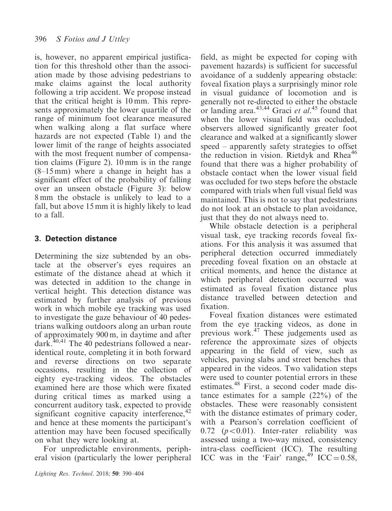is, however, no apparent empirical justification for this threshold other than the association made by those advising pedestrians to make claims against the local authority following a trip accident. We propose instead that the critical height is 10 mm. This represents approximately the lower quartile of the range of minimum foot clearance measured when walking along a flat surface where hazards are not expected (Table 1) and the lower limit of the range of heights associated with the most frequent number of compensation claims (Figure 2). 10 mm is in the range (8–15 mm) where a change in height has a significant effect of the probability of falling over an unseen obstacle (Figure 3): below 8 mm the obstacle is unlikely to lead to a fall, but above 15 mm it is highly likely to lead to a fall.

## 3. Detection distance

Determining the size subtended by an obstacle at the observer's eyes requires an estimate of the distance ahead at which it was detected in addition to the change in vertical height. This detection distance was estimated by further analysis of previous work in which mobile eye tracking was used to investigate the gaze behaviour of 40 pedestrians walking outdoors along an urban route of approximately 900 m, in daytime and after dark.<sup>40,41</sup> The 40 pedestrians followed a nearidentical route, completing it in both forward and reverse directions on two separate occasions, resulting in the collection of eighty eye-tracking videos. The obstacles examined here are those which were fixated during critical times as marked using a concurrent auditory task, expected to provide significant cognitive capacity interference,<sup>42</sup> and hence at these moments the participant's attention may have been focused specifically on what they were looking at.

For unpredictable environments, peripheral vision (particularly the lower peripheral

field, as might be expected for coping with pavement hazards) is sufficient for successful avoidance of a suddenly appearing obstacle: foveal fixation plays a surprisingly minor role in visual guidance of locomotion and is generally not re-directed to either the obstacle or landing area. $43,44$  Graci et al.<sup>45</sup> found that when the lower visual field was occluded, observers allowed significantly greater foot clearance and walked at a significantly slower speed – apparently safety strategies to offset the reduction in vision. Rietdyk and Rhea<sup>46</sup> found that there was a higher probability of obstacle contact when the lower visual field was occluded for two steps before the obstacle compared with trials when full visual field was maintained. This is not to say that pedestrians do not look at an obstacle to plan avoidance, just that they do not always need to.

While obstacle detection is a peripheral visual task, eye tracking records foveal fixations. For this analysis it was assumed that peripheral detection occurred immediately preceding foveal fixation on an obstacle at critical moments, and hence the distance at which peripheral detection occurred was estimated as foveal fixation distance plus distance travelled between detection and fixation.

Foveal fixation distances were estimated from the eye tracking videos, as done in previous work.<sup>47</sup> These judgements used as reference the approximate sizes of objects appearing in the field of view, such as vehicles, paving slabs and street benches that appeared in the videos. Two validation steps were used to counter potential errors in these estimates.<sup>48</sup> First, a second coder made distance estimates for a sample (22%) of the obstacles. These were reasonably consistent with the distance estimates of primary coder, with a Pearson's correlation coefficient of 0.72 ( $p<0.01$ ). Inter-rater reliability was assessed using a two-way mixed, consistency intra-class coefficient (ICC). The resulting ICC was in the 'Fair' range,<sup>49</sup> ICC =  $0.58$ ,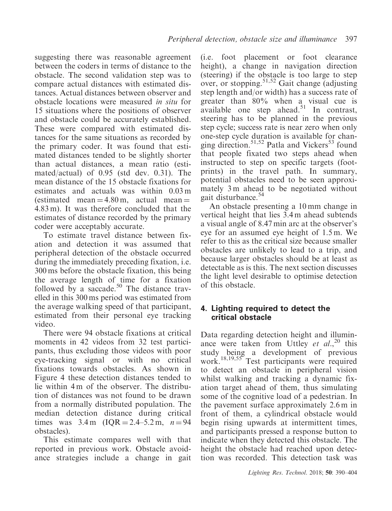suggesting there was reasonable agreement between the coders in terms of distance to the obstacle. The second validation step was to compare actual distances with estimated distances. Actual distances between observer and obstacle locations were measured in situ for 15 situations where the positions of observer and obstacle could be accurately established. These were compared with estimated distances for the same situations as recorded by the primary coder. It was found that estimated distances tended to be slightly shorter than actual distances, a mean ratio (estimated/actual) of 0.95 (std dev. 0.31). The mean distance of the 15 obstacle fixations for estimates and actuals was within 0.03 m (estimated mean  $=$  4.80 m, actual mean  $=$ 4.83 m). It was therefore concluded that the estimates of distance recorded by the primary coder were acceptably accurate.

To estimate travel distance between fixation and detection it was assumed that peripheral detection of the obstacle occurred during the immediately preceding fixation, i.e. 300 ms before the obstacle fixation, this being the average length of time for a fixation followed by a saccade.<sup>50</sup> The distance travelled in this 300 ms period was estimated from the average walking speed of that participant, estimated from their personal eye tracking video.

There were 94 obstacle fixations at critical moments in 42 videos from 32 test participants, thus excluding those videos with poor eye-tracking signal or with no critical fixations towards obstacles. As shown in Figure 4 these detection distances tended to lie within 4 m of the observer. The distribution of distances was not found to be drawn from a normally distributed population. The median detection distance during critical times was  $3.4 \text{ m}$  (IQR = 2.4–5.2 m,  $n = 94$ ) obstacles).

This estimate compares well with that reported in previous work. Obstacle avoidance strategies include a change in gait

(i.e. foot placement or foot clearance height), a change in navigation direction (steering) if the obstacle is too large to step over, or stopping.<sup>51,52</sup> Gait change (adjusting) step length and/or width) has a success rate of greater than 80% when a visual cue is available one step ahead.<sup>51</sup> In contrast, steering has to be planned in the previous step cycle; success rate is near zero when only one-step cycle duration is available for changing direction.<sup>51,52</sup> Patla and Vickers<sup>53</sup> found that people fixated two steps ahead when instructed to step on specific targets (footprints) in the travel path. In summary, potential obstacles need to be seen approximately 3 m ahead to be negotiated without gait disturbance.<sup>54</sup>

An obstacle presenting a 10 mm change in vertical height that lies 3.4 m ahead subtends a visual angle of 8.47 min arc at the observer's eye for an assumed eye height of 1.5 m. We refer to this as the critical size because smaller obstacles are unlikely to lead to a trip, and because larger obstacles should be at least as detectable as is this. The next section discusses the light level desirable to optimise detection of this obstacle.

#### 4. Lighting required to detect the critical obstacle

Data regarding detection height and illuminance were taken from Uttley et  $al$ ,<sup>20</sup> this study being a development of previous work.<sup>18,19,55</sup> Test participants were required to detect an obstacle in peripheral vision whilst walking and tracking a dynamic fixation target ahead of them, thus simulating some of the cognitive load of a pedestrian. In the pavement surface approximately 2.6 m in front of them, a cylindrical obstacle would begin rising upwards at intermittent times, and participants pressed a response button to indicate when they detected this obstacle. The height the obstacle had reached upon detection was recorded. This detection task was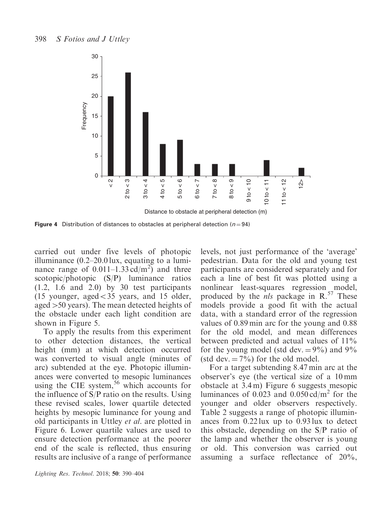

Figure 4 Distribution of distances to obstacles at peripheral detection ( $n = 94$ )

carried out under five levels of photopic illuminance (0.2–20.0 lux, equating to a luminance range of  $0.011-1.33 \text{ cd/m}^2$  and three scotopic/photopic (S/P) luminance ratios (1.2, 1.6 and 2.0) by 30 test participants (15 younger, aged $<$ 35 years, and 15 older, aged  $>50$  years). The mean detected heights of the obstacle under each light condition are shown in Figure 5.

To apply the results from this experiment to other detection distances, the vertical height (mm) at which detection occurred was converted to visual angle (minutes of arc) subtended at the eye. Photopic illuminances were converted to mesopic luminances using the CIE system,<sup>56</sup> which accounts for the influence of S/P ratio on the results. Using these revised scales, lower quartile detected heights by mesopic luminance for young and old participants in Uttley et al. are plotted in Figure 6. Lower quartile values are used to ensure detection performance at the poorer end of the scale is reflected, thus ensuring results are inclusive of a range of performance

Lighting Res. Technol. 2018; 50: 390–404

levels, not just performance of the 'average' pedestrian. Data for the old and young test participants are considered separately and for each a line of best fit was plotted using a nonlinear least-squares regression model, produced by the  $nls$  package in R.<sup>57</sup> These models provide a good fit with the actual data, with a standard error of the regression values of 0.89 min arc for the young and 0.88 for the old model, and mean differences between predicted and actual values of 11% for the young model (std dev.  $= 9\%$ ) and 9% (std dev.  $= 7\%$ ) for the old model.

For a target subtending 8.47 min arc at the observer's eye (the vertical size of a 10 mm obstacle at 3.4 m) Figure 6 suggests mesopic luminances of 0.023 and 0.050 cd/ $m<sup>2</sup>$  for the younger and older observers respectively. Table 2 suggests a range of photopic illuminances from 0.22 lux up to 0.93 lux to detect this obstacle, depending on the S/P ratio of the lamp and whether the observer is young or old. This conversion was carried out assuming a surface reflectance of 20%,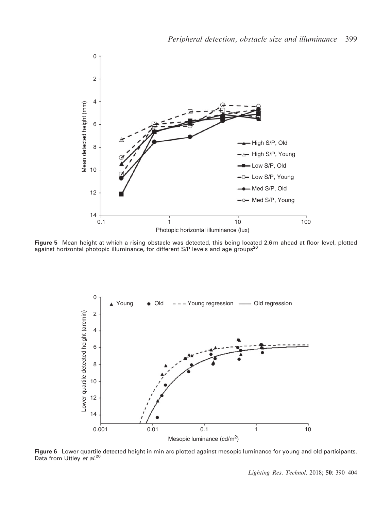

Figure 5 Mean height at which a rising obstacle was detected, this being located 2.6 m ahead at floor level, plotted against horizontal photopic illuminance, for different S/P levels and age groups<sup>20</sup>



Figure 6 Lower quartile detected height in min arc plotted against mesopic luminance for young and old participants. Data from Uttley et al.<sup>20</sup>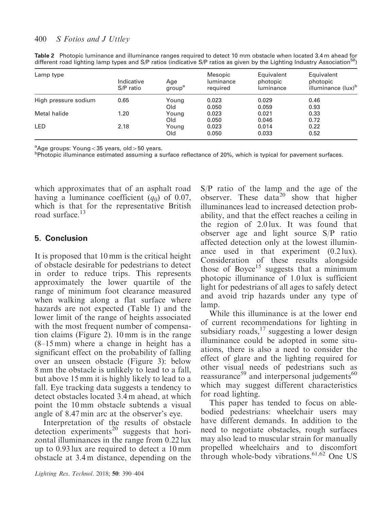| Lamp type            | Indicative<br>S/P ratio | Age<br>group <sup>a</sup> | Mesopic<br><b>luminance</b><br>required | Equivalent<br>photopic<br>luminance | Equivalent<br>photopic<br>illuminance (lux) <sup>b</sup> |
|----------------------|-------------------------|---------------------------|-----------------------------------------|-------------------------------------|----------------------------------------------------------|
| High pressure sodium | 0.65                    | Young                     | 0.023                                   | 0.029                               | 0.46                                                     |
|                      |                         | Old                       | 0.050                                   | 0.059                               | 0.93                                                     |
| Metal halide         | 1.20                    | Young                     | 0.023                                   | 0.021                               | 0.33                                                     |
|                      |                         | Old                       | 0.050                                   | 0.046                               | 0.72                                                     |
| LED                  | 2.18                    | Young                     | 0.023                                   | 0.014                               | 0.22                                                     |
|                      |                         | Old                       | 0.050                                   | 0.033                               | 0.52                                                     |

Table 2 Photopic luminance and illuminance ranges required to detect 10 mm obstacle when located 3.4 m ahead for different road lighting lamp types and  $S/P$  ratios (indicative  $S/P$  ratios as given by the Lighting Industry Association<sup>58</sup>)

<sup>a</sup>Age groups: Young<35 years, old>50 years.<br><sup>b</sup>Photonic illuminance estimated assuming a s

<sup>b</sup>Photopic illuminance estimated assuming a surface reflectance of 20%, which is typical for pavement surfaces.

which approximates that of an asphalt road having a luminance coefficient  $(q_0)$  of 0.07, which is that for the representative British road surface.<sup>13</sup>

## 5. Conclusion

It is proposed that 10 mm is the critical height of obstacle desirable for pedestrians to detect in order to reduce trips. This represents approximately the lower quartile of the range of minimum foot clearance measured when walking along a flat surface where hazards are not expected (Table 1) and the lower limit of the range of heights associated with the most frequent number of compensation claims (Figure 2). 10 mm is in the range (8–15 mm) where a change in height has a significant effect on the probability of falling over an unseen obstacle (Figure 3): below 8 mm the obstacle is unlikely to lead to a fall, but above 15 mm it is highly likely to lead to a fall. Eye tracking data suggests a tendency to detect obstacles located 3.4 m ahead, at which point the 10 mm obstacle subtends a visual angle of 8.47 min arc at the observer's eye.

Interpretation of the results of obstacle detection experiments<sup>20</sup> suggests that horizontal illuminances in the range from 0.22 lux up to 0.93 lux are required to detect a 10 mm obstacle at 3.4 m distance, depending on the S/P ratio of the lamp and the age of the observer. These data<sup>20</sup> show that higher illuminances lead to increased detection probability, and that the effect reaches a ceiling in the region of 2.0 lux. It was found that observer age and light source S/P ratio affected detection only at the lowest illuminance used in that experiment (0.2 lux). Consideration of these results alongside those of Boyce<sup>15</sup> suggests that a minimum photopic illuminance of 1.0 lux is sufficient light for pedestrians of all ages to safely detect and avoid trip hazards under any type of lamp.

While this illuminance is at the lower end of current recommendations for lighting in subsidiary roads,  $17$  suggesting a lower design illuminance could be adopted in some situations, there is also a need to consider the effect of glare and the lighting required for other visual needs of pedestrians such as reassurance<sup>59</sup> and interpersonal judgements<sup>60</sup> which may suggest different characteristics for road lighting.

This paper has tended to focus on ablebodied pedestrians: wheelchair users may have different demands. In addition to the need to negotiate obstacles, rough surfaces may also lead to muscular strain for manually propelled wheelchairs and to discomfort through whole-body vibrations.<sup>61,62</sup> One US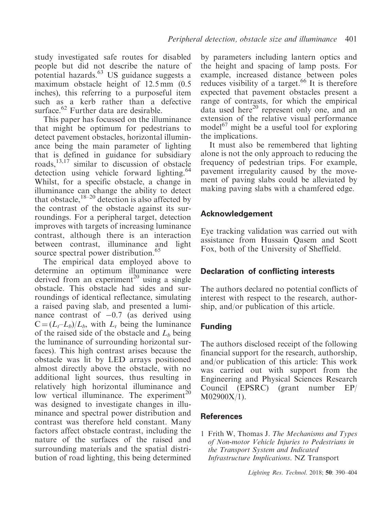study investigated safe routes for disabled people but did not describe the nature of potential hazards. $^{63}$  US guidance suggests a maximum obstacle height of 12.5 mm  $(0.5)$ inches), this referring to a purposeful item such as a kerb rather than a defective surface. $^{62}$  Further data are desirable.

This paper has focussed on the illuminance that might be optimum for pedestrians to detect pavement obstacles, horizontal illuminance being the main parameter of lighting that is defined in guidance for subsidiary roads,13,17 similar to discussion of obstacle detection using vehicle forward lighting.<sup>64</sup> Whilst, for a specific obstacle, a change in illuminance can change the ability to detect that obstacle,  $18-20$  detection is also affected by the contrast of the obstacle against its surroundings. For a peripheral target, detection improves with targets of increasing luminance contrast, although there is an interaction between contrast, illuminance and light source spectral power distribution.<sup>65</sup>

The empirical data employed above to determine an optimum illuminance were derived from an experiment<sup>20</sup> using a single obstacle. This obstacle had sides and surroundings of identical reflectance, simulating a raised paving slab, and presented a luminance contrast of  $-0.7$  (as derived using  $C = (L_t - L_b)/L_b$ , with  $L_t$  being the luminance of the raised side of the obstacle and  $L<sub>b</sub>$  being the luminance of surrounding horizontal surfaces). This high contrast arises because the obstacle was lit by LED arrays positioned almost directly above the obstacle, with no additional light sources, thus resulting in relatively high horizontal illuminance and low vertical illuminance. The experiment<sup>20</sup> was designed to investigate changes in illuminance and spectral power distribution and contrast was therefore held constant. Many factors affect obstacle contrast, including the nature of the surfaces of the raised and surrounding materials and the spatial distribution of road lighting, this being determined

by parameters including lantern optics and the height and spacing of lamp posts. For example, increased distance between poles reduces visibility of a target.<sup>66</sup> It is therefore expected that pavement obstacles present a range of contrasts, for which the empirical data used here $^{20}$  represent only one, and an extension of the relative visual performance model $^{67}$  might be a useful tool for exploring the implications.

It must also be remembered that lighting alone is not the only approach to reducing the frequency of pedestrian trips. For example, pavement irregularity caused by the movement of paving slabs could be alleviated by making paving slabs with a chamfered edge.

## Acknowledgement

Eye tracking validation was carried out with assistance from Hussain Qasem and Scott Fox, both of the University of Sheffield.

## Declaration of conflicting interests

The authors declared no potential conflicts of interest with respect to the research, authorship, and/or publication of this article.

# Funding

The authors disclosed receipt of the following financial support for the research, authorship, and/or publication of this article: This work was carried out with support from the Engineering and Physical Sciences Research Council (EPSRC) (grant number EP/ M02900X/1).

## **References**

1 Frith W, Thomas J. The Mechanisms and Types of Non-motor Vehicle Injuries to Pedestrians in the Transport System and Indicated Infrastructure Implications. NZ Transport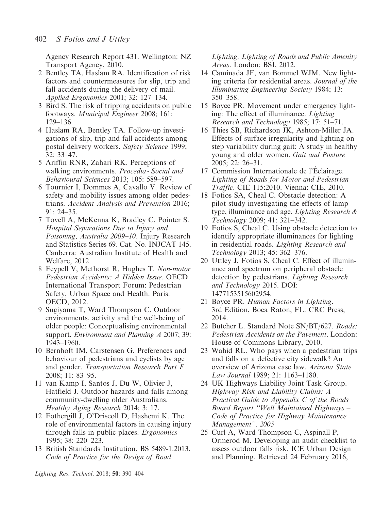Agency Research Report 431. Wellington: NZ Transport Agency, 2010.

- 2 Bentley TA, Haslam RA. Identification of risk factors and countermeasures for slip, trip and fall accidents during the delivery of mail. Applied Ergonomics 2001; 32: 127–134.
- 3 Bird S. The risk of tripping accidents on public footways. Municipal Engineer 2008; 161: 129–136.
- 4 Haslam RA, Bentley TA. Follow-up investigations of slip, trip and fall accidents among postal delivery workers. Safety Science 1999; 32: 33–47.
- 5 Ariffin RNR, Zahari RK. Perceptions of walking environments. Procedia - Social and Behavioural Sciences 2013; 105: 589–597.
- 6 Tournier I, Dommes A, Cavallo V. Review of safety and mobility issues among older pedestrians. Accident Analysis and Prevention 2016; 91: 24–35.
- 7 Tovell A, McKenna K, Bradley C, Pointer S. Hospital Separations Due to Injury and Poisoning, Australia 2009–10. Injury Research and Statistics Series 69. Cat. No. INJCAT 145. Canberra: Australian Institute of Health and Welfare, 2012.
- 8 Feypell V, Methorst R, Hughes T. Non-motor Pedestrian Accidents: A Hidden Issue. OECD International Transport Forum: Pedestrian Safety, Urban Space and Health. Paris: OECD, 2012.
- 9 Sugiyama T, Ward Thompson C. Outdoor environments, activity and the well-being of older people: Conceptualising environmental support. Environment and Planning A 2007; 39: 1943–1960.
- 10 Bernhoft IM, Carstensen G. Preferences and behaviour of pedestrians and cyclists by age and gender. Transportation Research Part F 2008; 11: 83–95.
- 11 van Kamp I, Santos J, Du W, Olivier J, Hatfield J. Outdoor hazards and falls among community-dwelling older Australians. Healthy Aging Research 2014; 3: 17.
- 12 Fothergill J, O'Driscoll D, Hashemi K. The role of environmental factors in causing injury through falls in public places. Ergonomics 1995; 38: 220–223.
- 13 British Standards Institution. BS 5489-1:2013. Code of Practice for the Design of Road

Lighting: Lighting of Roads and Public Amenity Areas. London: BSI, 2012.

- 14 Caminada JF, van Bommel WJM. New lighting criteria for residential areas. Journal of the Illuminating Engineering Society 1984; 13: 350–358.
- 15 Boyce PR. Movement under emergency lighting: The effect of illuminance. Lighting Research and Technology 1985; 17: 51–71.
- 16 Thies SB, Richardson JK, Ashton-Miller JA. Effects of surface irregularity and lighting on step variability during gait: A study in healthy young and older women. Gait and Posture 2005; 22: 26–31.
- 17 Commission Internationale de l'Eclairage. Lighting of Roads for Motor and Pedestrian Traffic. CIE 115:2010. Vienna: CIE, 2010.
- 18 Fotios SA, Cheal C. Obstacle detection: A pilot study investigating the effects of lamp type, illuminance and age. Lighting Research & Technology 2009; 41: 321–342.
- 19 Fotios S, Cheal C. Using obstacle detection to identify appropriate illuminances for lighting in residential roads. Lighting Research and Technology 2013; 45: 362–376.
- 20 Uttley J, Fotios S, Cheal C. Effect of illuminance and spectrum on peripheral obstacle detection by pedestrians. Lighting Research and Technology 2015. DOI: 1477153515602954.
- 21 Boyce PR. Human Factors in Lighting. 3rd Edition, Boca Raton, FL: CRC Press, 2014.
- 22 Butcher L. Standard Note SN/BT/627. Roads: Pedestrian Accidents on the Pavement. London: House of Commons Library, 2010.
- 23 Wahid RL. Who pays when a pedestrian trips and falls on a defective city sidewalk? An overview of Arizona case law. Arizona State Law Journal 1989; 21: 1163–1180.
- 24 UK Highways Liability Joint Task Group. Highway Risk and Liability Claims: A Practical Guide to Appendix C of the Roads Board Report ''Well Maintained Highways – Code of Practice for Highway Maintenance Management''. 2005
- 25 Curl A, Ward Thompson C, Aspinall P, Ormerod M. Developing an audit checklist to assess outdoor falls risk. ICE Urban Design and Planning. Retrieved 24 February 2016,

Lighting Res. Technol. 2018; 50: 390–404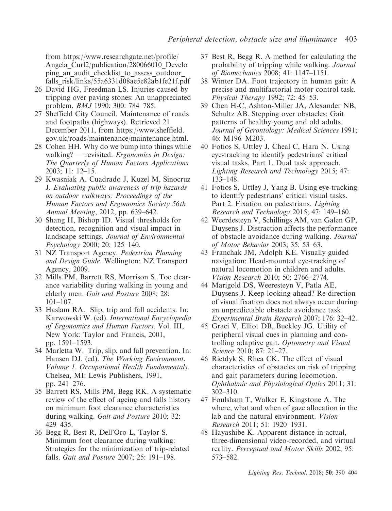from [https://www.researchgate.net/profile/](https://www.researchgate.net/profile/Angela_Curl2/publication/280066010_Developing_an_audit_checklist_to_assess_outdoor_falls_risk/links/55a6331d08ae5e82ab1fe21f.pdf) Angela Curl2/publication/280066010 Develo ping an audit checklist to assess outdoor [falls\\_risk/links/55a6331d08ae5e82ab1fe21f.pdf](https://www.researchgate.net/profile/Angela_Curl2/publication/280066010_Developing_an_audit_checklist_to_assess_outdoor_falls_risk/links/55a6331d08ae5e82ab1fe21f.pdf)

- 26 David HG, Freedman LS. Injuries caused by tripping over paving stones: An unappreciated problem. BMJ 1990; 300: 784–785.
- 27 Sheffield City Council. Maintenance of roads and footpaths (highways). Retrieved 21 December 2011, from [https://www.sheffield.](https://www.sheffield.gov.uk/roads/maintenance/maintenance.html) [gov.uk/roads/maintenance/maintenance.html.](https://www.sheffield.gov.uk/roads/maintenance/maintenance.html)
- 28 Cohen HH. Why do we bump into things while walking? — revisited. *Ergonomics in Design*: The Quarterly of Human Factors Applications 2003; 11: 12–15.
- 29 Kwasniak A, Cuadrado J, Kuzel M, Sinocruz J. Evaluating public awareness of trip hazards on outdoor walkways: Proceedings of the Human Factors and Ergonomics Society 56th Annual Meeting, 2012, pp. 639–642.
- 30 Shang H, Bishop ID. Visual thresholds for detection, recognition and visual impact in landscape settings. Journal of Environmental Psychology 2000; 20: 125–140.
- 31 NZ Transport Agency. Pedestrian Planning and Design Guide. Wellington: NZ Transport Agency, 2009.
- 32 Mills PM, Barrett RS, Morrison S. Toe clearance variability during walking in young and elderly men. Gait and Posture 2008; 28: 101–107.
- 33 Haslam RA. Slip, trip and fall accidents. In: Karwowski W. (ed). International Encyclopedia of Ergonomics and Human Factors. Vol. III, New York: Taylor and Francis, 2001, pp. 1591–1593.
- 34 Marletta W. Trip, slip, and fall prevention. In: Hansen DJ. (ed). The Working Environment. Volume 1. Occupational Health Fundamentals. Chelsea, MI: Lewis Publishers, 1991, pp. 241–276.
- 35 Barrett RS, Mills PM, Begg RK. A systematic review of the effect of ageing and falls history on minimum foot clearance characteristics during walking. Gait and Posture 2010; 32: 429–435.
- 36 Begg R, Best R, Dell'Oro L, Taylor S. Minimum foot clearance during walking: Strategies for the minimization of trip-related falls. Gait and Posture 2007; 25: 191–198.
- 37 Best R, Begg R. A method for calculating the probability of tripping while walking. Journal of Biomechanics 2008; 41: 1147–1151.
- 38 Winter DA. Foot trajectory in human gait: A precise and multifactorial motor control task. Physical Therapy 1992; 72: 45–53.
- 39 Chen H-C, Ashton-Miller JA, Alexander NB, Schultz AB. Stepping over obstacles: Gait patterns of healthy young and old adults. Journal of Gerontology: Medical Sciences 1991; 46: M196–M203.
- 40 Fotios S, Uttley J, Cheal C, Hara N. Using eye-tracking to identify pedestrians' critical visual tasks, Part 1. Dual task approach. Lighting Research and Technology 2015; 47: 133–148.
- 41 Fotios S, Uttley J, Yang B. Using eye-tracking to identify pedestrians' critical visual tasks. Part 2. Fixation on pedestrians. Lighting Research and Technology 2015; 47: 149–160.
- 42 Weerdesteyn V, Schillings AM, van Galen GP, Duysens J. Distraction affects the performance of obstacle avoidance during walking. Journal of Motor Behavior 2003; 35: 53–63.
- 43 Franchak JM, Adolph KE. Visually guided navigation: Head-mounted eye-tracking of natural locomotion in children and adults. Vision Research 2010; 50: 2766–2774.
- 44 Marigold DS, Weeresteyn V, Patla AE, Duysens J. Keep looking ahead? Re-direction of visual fixation does not always occur during an unpredictable obstacle avoidance task. Experimental Brain Research 2007; 176: 32–42.
- 45 Graci V, Elliot DB, Buckley JG. Utility of peripheral visual cues in planning and controlling adaptive gait. Optometry and Visual Science 2010; 87: 21–27.
- 46 Rietdyk S, Rhea CK. The effect of visual characteristics of obstacles on risk of tripping and gait parameters during locomotion. Ophthalmic and Physiological Optics 2011; 31: 302–310.
- 47 Foulsham T, Walker E, Kingstone A. The where, what and when of gaze allocation in the lab and the natural environment. Vision Research 2011; 51: 1920–1931.
- 48 Hayashibe K. Apparent distance in actual, three-dimensional video-recorded, and virtual reality. Perceptual and Motor Skills 2002; 95: 573–582.